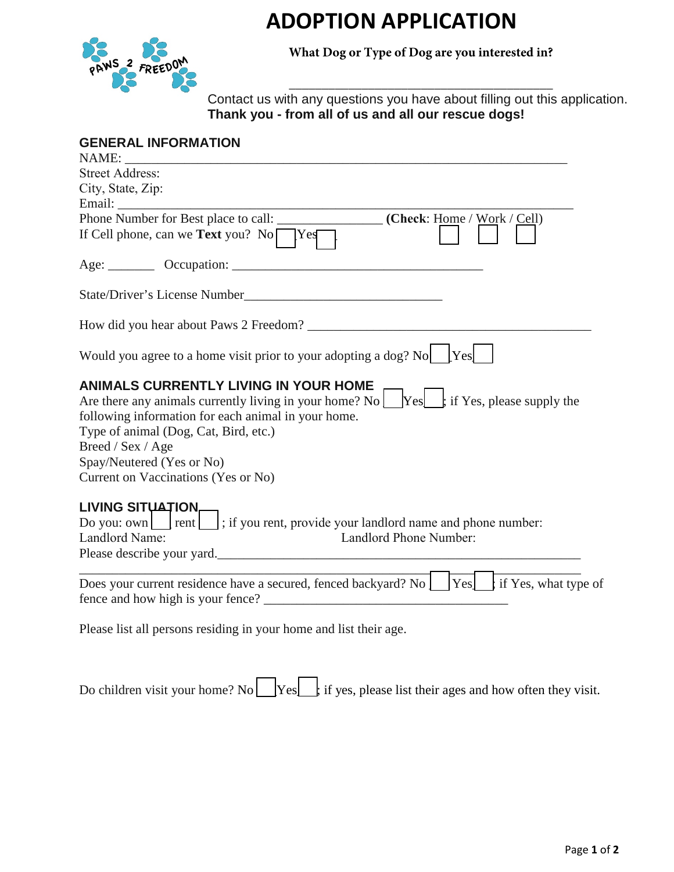## **ADOPTION APPLICATION**



**What Dog or Type of Dog are you interested in?**

Contact us with any questions you have about filling out this application. **Thank you - from all of us and all our rescue dogs! \_\_\_\_\_\_\_\_\_\_\_\_\_\_\_\_\_\_\_\_\_\_\_\_\_\_\_\_\_\_\_\_\_\_\_\_\_\_\_\_**

## **GENERAL INFORMATION**

| NAME:                                                                                                                                                        |
|--------------------------------------------------------------------------------------------------------------------------------------------------------------|
| <b>Street Address:</b>                                                                                                                                       |
| City, State, Zip:                                                                                                                                            |
| Email:                                                                                                                                                       |
| Phone Number for Best place to call:<br>$\frac{1}{\sqrt{1-\frac{1}{2}}\sqrt{1-\frac{1}{2}}\left(\frac{1}{2}-\frac{1}{2}\right)}$ (Check: Home / Work / Cell) |
| If Cell phone, can we Text you? No<br> Yes                                                                                                                   |
|                                                                                                                                                              |
| State/Driver's License Number                                                                                                                                |
| How did you hear about Paws 2 Freedom?                                                                                                                       |
| Would you agree to a home visit prior to your adopting a dog? No<br>Yes                                                                                      |
| <b>ANIMALS CURRENTLY LIVING IN YOUR HOME</b>                                                                                                                 |
| $\left  \text{Yes} \right $ if Yes, please supply the<br>Are there any animals currently living in your home? No                                             |
| following information for each animal in your home.                                                                                                          |
| Type of animal (Dog, Cat, Bird, etc.)                                                                                                                        |
| Breed / Sex / Age                                                                                                                                            |
| Spay/Neutered (Yes or No)                                                                                                                                    |
| Current on Vaccinations (Yes or No)                                                                                                                          |
| <b>LIVING SITUATION.</b>                                                                                                                                     |
| Do you: own $\Box$ rent $\Box$ ; if you rent, provide your landlord name and phone number:                                                                   |
| Landlord Name:<br>Landlord Phone Number:                                                                                                                     |
| Please describe your yard.                                                                                                                                   |
|                                                                                                                                                              |
| Does your current residence have a secured, fenced backyard? No    Yes    if Yes, what type of<br>fence and how high is your fence?                          |

Please list all persons residing in your home and list their age.

Do children visit your home? No  $\Box$  Yes  $\Box$ ; if yes, please list their ages and how often they visit.